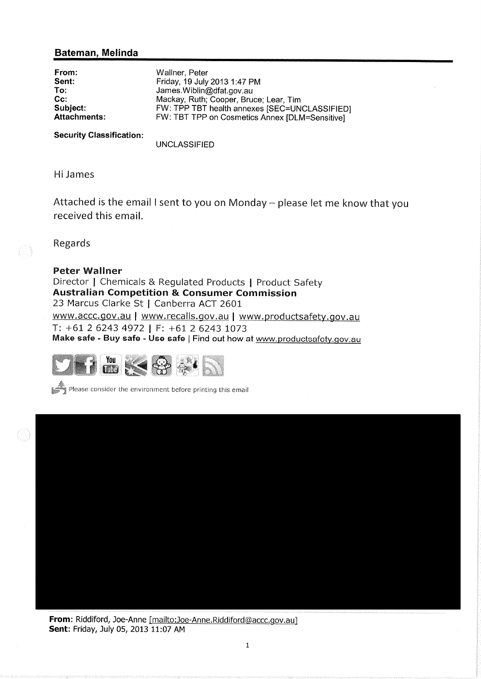## Bateman, Melinda

From: Sent: To: Cc: Subject: Attachments: Wallner, Peter Friday, 19 July 2013 1:47 PM James.Wiblin@dfat.gov.au Mackay, Ruth; Cooper, Bruce; Lear, Tim FW: TPP TBT health annexes [SEC=UNCLASSIFIED] FW: TBT TPP on Cosmetics Annex [DLM=Sensitive]

**Security Classification:** 

UNCLASSIFIED

HiJames

Attached is the email I sent to you on Monday - please let me know that you received this email.

**Regards** 

Peter Wallner Director | Chemicals & Regulated Products | Product Safety<br>Australian Competition & Consumer Commission 23 Marcus Clarke St | Canberra ACT 2601 www.accc.gov.au | www.recalls.gov.au | www.productsafety.gov.au T:  $+61$  2 6243 4972 | F:  $+61$  2 6243 1073<br>Make safe - Buy safe - Use safe | Find out how at www.productsafety.gov.au



Æ  $\leftarrow$  Please consider the environment before printing this email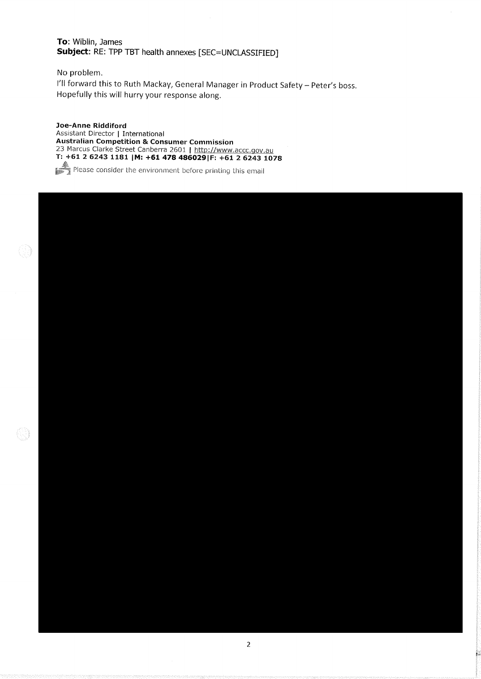# To: Wiblin, James Subject: RE: TPP TBT health annexes [SEC=UNCLASSIFIED]

No problem.

88

l'Il forward this to Ruth Mackay, General Manager in Product Safety - Peter's boss. Hopefully thís will hurry your response along.

Joe-Anne Riddiford<br>Assistant Director | International **Australian Competition & Consumer Commission** 23 Marcus Clarke Street Canberra 2601 | http://www.accc.gov.au T: +61 2 6243 1181 | M: +61 478 486029| F: +61 2 6243 1078

 $f \leftarrow$  Please consider the environment before printing this email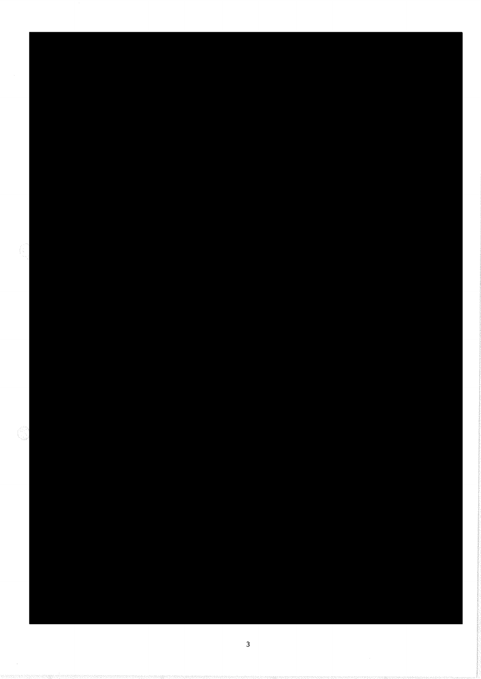

CS.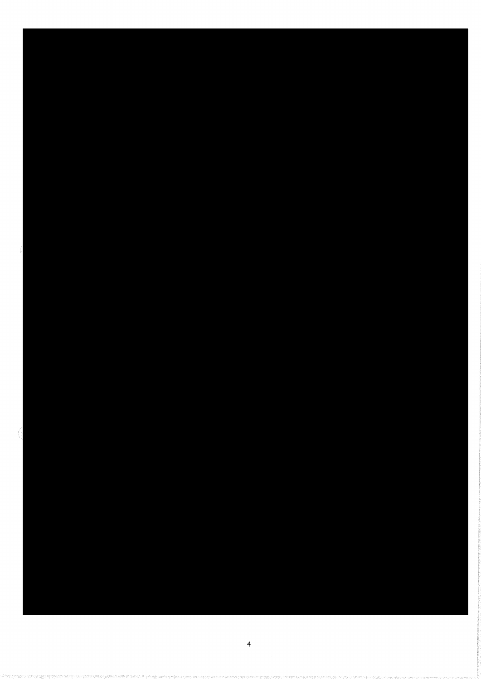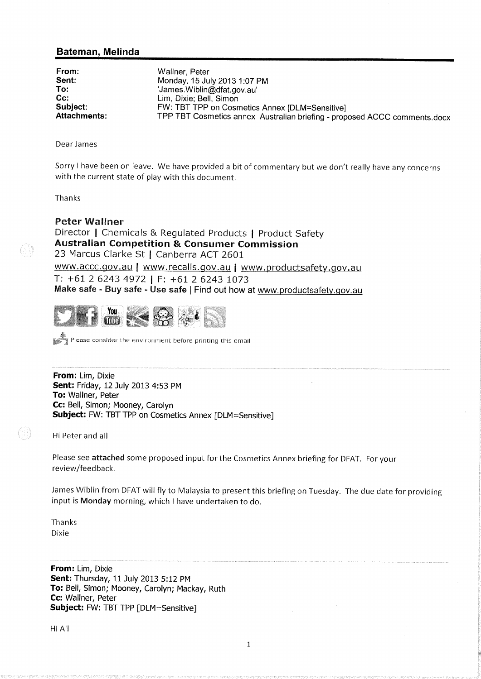| From:        | Wallner, Peter                                                            |
|--------------|---------------------------------------------------------------------------|
| Sent:        | Monday, 15 July 2013 1:07 PM                                              |
| To:          | 'James.Wiblin@dfat.gov.au'                                                |
| Cc:          | Lim, Dixie; Bell, Simon                                                   |
| Subject:     | FW: TBT TPP on Cosmetics Annex [DLM=Sensitive]                            |
| Attachments: | TPP TBT Cosmetics annex Australian briefing - proposed ACCC comments.docx |

### Dear James

Sorry I have been on leave. We have provided a bit of commentary but we don't really have any concerns with the current state of play with this document.

### Thanks

G)

11)

Peter Wallner

Director | Chemicals & Regulated Products | Product Safety<br>Australian Competition & Consumer Commission 23 Marcus Clarke St | Canberra ACT 2601 www.accc.gov.au | www.recalls.gov.au | www.productsafety.gov.au<br>T: +61 2 6243 4972 | F: +61 2 6243 1073 Make safe - Buy safe - Use safe | Find out how at www.productsafety.gov.au



&  $f_{\text{max}}$  Please consider the environment before printing this email

From: Lim, Dixie Sent: Friday, 12 July 2013 4:53 PM To: Wallner, Peter Cc: Bell, Simon; Mooney, Carolyn Subject: FW: TBT TPP on Cosmetics Annex [DLM=Sensitive]

Hi Peter and all

Please see attached some proposed input for the Cosmetics Annex briefing for DFAT. For your review/feedback.

James Wiblin from DFAT will fly to Malaysia to present this briefing on Tuesday. The due date for providing input is Monday morning, which I have undertaken to do.

Thanks Dixie

From: Lim, Dixie Sent: Thursday, 11 July 2013 5:12 PM To: Bell, Simon; Mooney, Carolyn; Mackay, Ruth Cc: Wallner, Peter Subject: FW: TBT TPP [DLM=Sensitive]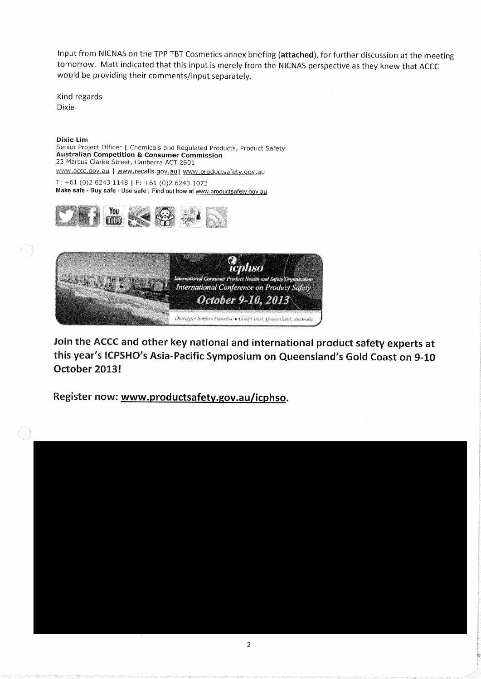lnput from NICNAS on the TPP TBT Cosmetics annex briefing (attached), for further discussion at the meeting tomorrow. Matt indicated that this input is merely from the NICNAS perspective as they knew that ACCC would be providing their comments/input separately.

Kind regards Dixie

Dixie Lim

63

Senior Project Officer | Chemicals and Regulated Products, Product Safety<br>Australian Competition & Consumer Commission 23 Marcus Clarke Street, Canberra ACT 2601 www.accc.gov.au | www.recalls.gov.au| www.productsafety.gov.au

T: +61 (0)2 6243 <sup>1148</sup>| F: +61 (0)2 6243 Lo73 Make safe - Buy safe - Use safe | Find out how at www.productsafety.gov.au





Join the ACCC and other key national and international product safety experts at this year's ICPSHO's Asia-Pacific Symposium on Queensland's Gold Coast on 9-10 October 2013!

Register now: www.productsafety.gov.au/icphso.

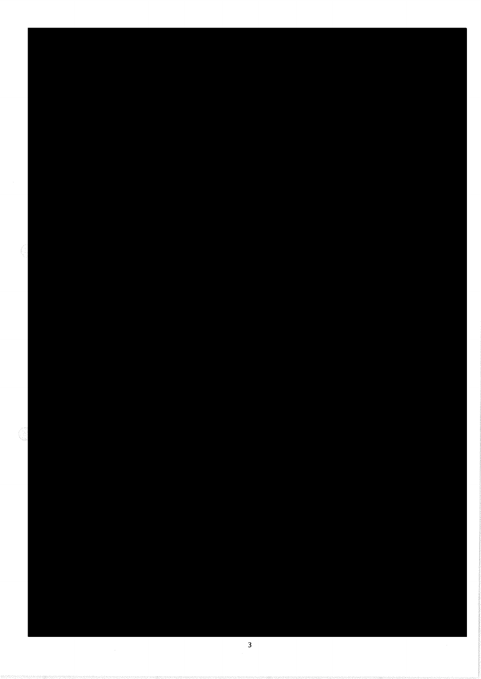G

 $\overline{3}$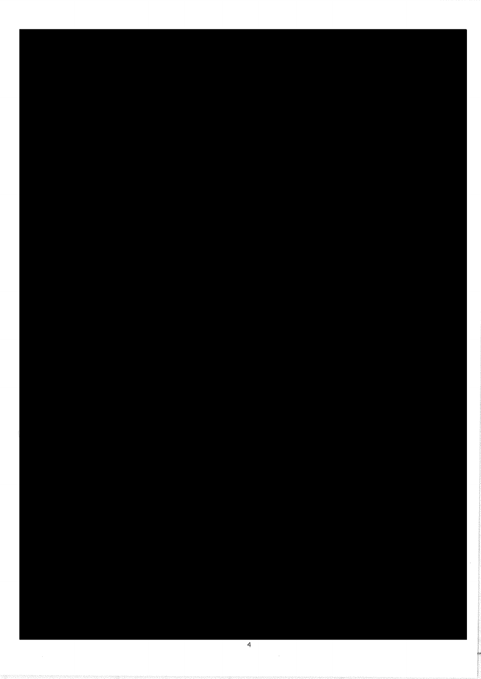

 $\overline{4}$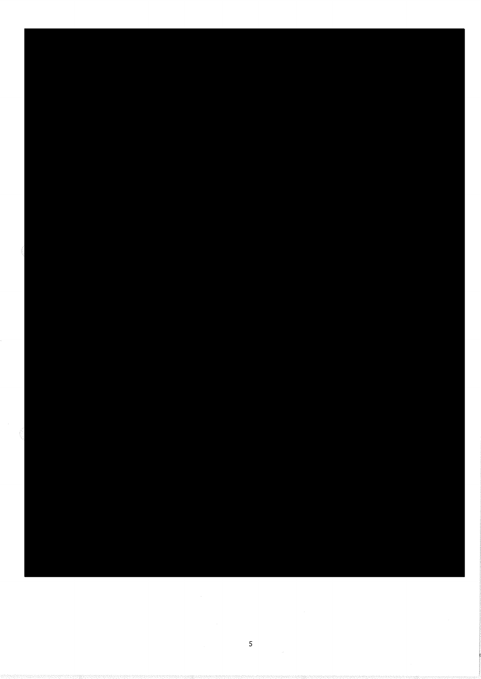

 $\overline{5}$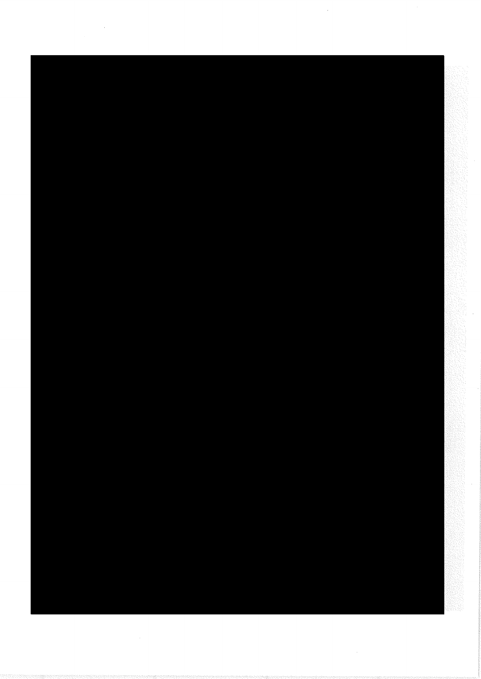

 $\frac{1}{2}$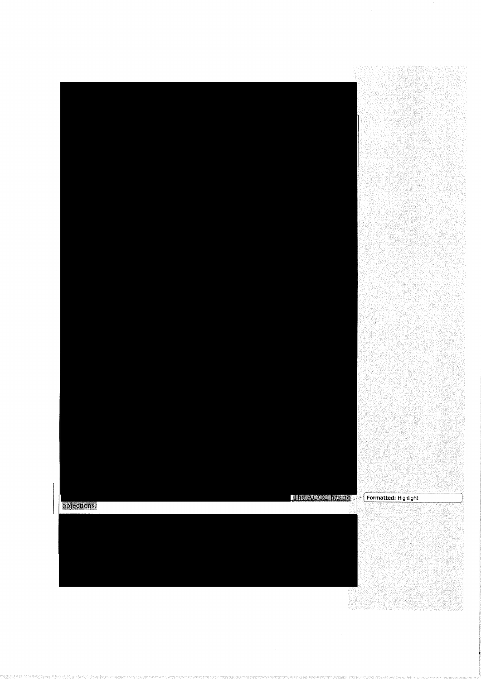

 $\bar{z}$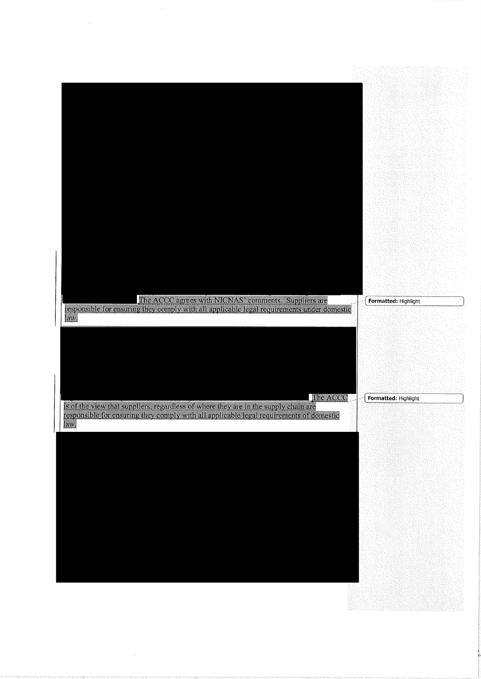| The ACCC agrees with NICNAS' comments. Suppliers are<br>Formatted: Highlight<br>responsible for ensuring they comply with all applicable legal requirements under domestic<br>law.<br><b>INE ACCC</b><br>Formatted: Highlight<br>is of the view that suppliers, regardless of where they are in the supply chain are<br>responsible for ensuring they comply with all applicable legal requirements of domestic<br>law. |  |
|-------------------------------------------------------------------------------------------------------------------------------------------------------------------------------------------------------------------------------------------------------------------------------------------------------------------------------------------------------------------------------------------------------------------------|--|
|                                                                                                                                                                                                                                                                                                                                                                                                                         |  |
|                                                                                                                                                                                                                                                                                                                                                                                                                         |  |
|                                                                                                                                                                                                                                                                                                                                                                                                                         |  |
|                                                                                                                                                                                                                                                                                                                                                                                                                         |  |
|                                                                                                                                                                                                                                                                                                                                                                                                                         |  |
|                                                                                                                                                                                                                                                                                                                                                                                                                         |  |
|                                                                                                                                                                                                                                                                                                                                                                                                                         |  |
|                                                                                                                                                                                                                                                                                                                                                                                                                         |  |
|                                                                                                                                                                                                                                                                                                                                                                                                                         |  |
|                                                                                                                                                                                                                                                                                                                                                                                                                         |  |
|                                                                                                                                                                                                                                                                                                                                                                                                                         |  |
|                                                                                                                                                                                                                                                                                                                                                                                                                         |  |
|                                                                                                                                                                                                                                                                                                                                                                                                                         |  |
|                                                                                                                                                                                                                                                                                                                                                                                                                         |  |
|                                                                                                                                                                                                                                                                                                                                                                                                                         |  |
|                                                                                                                                                                                                                                                                                                                                                                                                                         |  |
|                                                                                                                                                                                                                                                                                                                                                                                                                         |  |
|                                                                                                                                                                                                                                                                                                                                                                                                                         |  |
|                                                                                                                                                                                                                                                                                                                                                                                                                         |  |
|                                                                                                                                                                                                                                                                                                                                                                                                                         |  |
|                                                                                                                                                                                                                                                                                                                                                                                                                         |  |
|                                                                                                                                                                                                                                                                                                                                                                                                                         |  |
|                                                                                                                                                                                                                                                                                                                                                                                                                         |  |
|                                                                                                                                                                                                                                                                                                                                                                                                                         |  |
|                                                                                                                                                                                                                                                                                                                                                                                                                         |  |
|                                                                                                                                                                                                                                                                                                                                                                                                                         |  |
|                                                                                                                                                                                                                                                                                                                                                                                                                         |  |
|                                                                                                                                                                                                                                                                                                                                                                                                                         |  |
|                                                                                                                                                                                                                                                                                                                                                                                                                         |  |
|                                                                                                                                                                                                                                                                                                                                                                                                                         |  |
|                                                                                                                                                                                                                                                                                                                                                                                                                         |  |
|                                                                                                                                                                                                                                                                                                                                                                                                                         |  |
|                                                                                                                                                                                                                                                                                                                                                                                                                         |  |
|                                                                                                                                                                                                                                                                                                                                                                                                                         |  |
|                                                                                                                                                                                                                                                                                                                                                                                                                         |  |
|                                                                                                                                                                                                                                                                                                                                                                                                                         |  |
|                                                                                                                                                                                                                                                                                                                                                                                                                         |  |
|                                                                                                                                                                                                                                                                                                                                                                                                                         |  |
|                                                                                                                                                                                                                                                                                                                                                                                                                         |  |
|                                                                                                                                                                                                                                                                                                                                                                                                                         |  |
|                                                                                                                                                                                                                                                                                                                                                                                                                         |  |
|                                                                                                                                                                                                                                                                                                                                                                                                                         |  |
|                                                                                                                                                                                                                                                                                                                                                                                                                         |  |
|                                                                                                                                                                                                                                                                                                                                                                                                                         |  |
|                                                                                                                                                                                                                                                                                                                                                                                                                         |  |
|                                                                                                                                                                                                                                                                                                                                                                                                                         |  |
|                                                                                                                                                                                                                                                                                                                                                                                                                         |  |
|                                                                                                                                                                                                                                                                                                                                                                                                                         |  |
|                                                                                                                                                                                                                                                                                                                                                                                                                         |  |
|                                                                                                                                                                                                                                                                                                                                                                                                                         |  |
|                                                                                                                                                                                                                                                                                                                                                                                                                         |  |
|                                                                                                                                                                                                                                                                                                                                                                                                                         |  |
|                                                                                                                                                                                                                                                                                                                                                                                                                         |  |
|                                                                                                                                                                                                                                                                                                                                                                                                                         |  |
|                                                                                                                                                                                                                                                                                                                                                                                                                         |  |
|                                                                                                                                                                                                                                                                                                                                                                                                                         |  |
|                                                                                                                                                                                                                                                                                                                                                                                                                         |  |
|                                                                                                                                                                                                                                                                                                                                                                                                                         |  |
|                                                                                                                                                                                                                                                                                                                                                                                                                         |  |
|                                                                                                                                                                                                                                                                                                                                                                                                                         |  |
|                                                                                                                                                                                                                                                                                                                                                                                                                         |  |

 $\sim 10^{11}$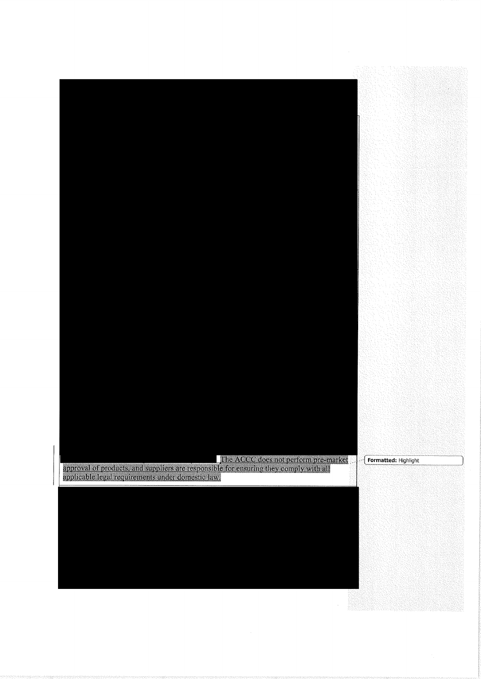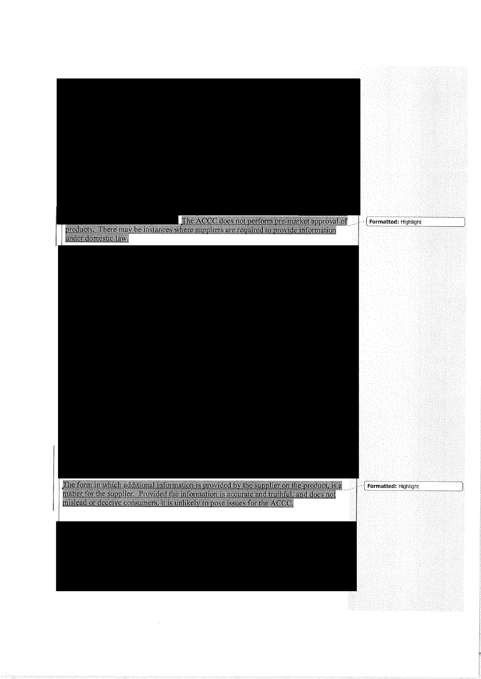| The ACCC does not perform pre-market approval of<br>Formatted: Highlight<br>products. There may be instances where suppliers are required to provide information<br>under domestic law.<br>The form in which additional information is provided by the supplier on the product, is a<br>Formatted: Highlight<br>matter for the supplier. Provided the information is accurate and truthful, and does not mislead or deceive consumers, it is unlikely to pose issues for the ACCC. |  |  |
|------------------------------------------------------------------------------------------------------------------------------------------------------------------------------------------------------------------------------------------------------------------------------------------------------------------------------------------------------------------------------------------------------------------------------------------------------------------------------------|--|--|
|                                                                                                                                                                                                                                                                                                                                                                                                                                                                                    |  |  |
|                                                                                                                                                                                                                                                                                                                                                                                                                                                                                    |  |  |
|                                                                                                                                                                                                                                                                                                                                                                                                                                                                                    |  |  |
|                                                                                                                                                                                                                                                                                                                                                                                                                                                                                    |  |  |
|                                                                                                                                                                                                                                                                                                                                                                                                                                                                                    |  |  |
|                                                                                                                                                                                                                                                                                                                                                                                                                                                                                    |  |  |
|                                                                                                                                                                                                                                                                                                                                                                                                                                                                                    |  |  |
|                                                                                                                                                                                                                                                                                                                                                                                                                                                                                    |  |  |
|                                                                                                                                                                                                                                                                                                                                                                                                                                                                                    |  |  |
|                                                                                                                                                                                                                                                                                                                                                                                                                                                                                    |  |  |
|                                                                                                                                                                                                                                                                                                                                                                                                                                                                                    |  |  |
|                                                                                                                                                                                                                                                                                                                                                                                                                                                                                    |  |  |
|                                                                                                                                                                                                                                                                                                                                                                                                                                                                                    |  |  |
|                                                                                                                                                                                                                                                                                                                                                                                                                                                                                    |  |  |
|                                                                                                                                                                                                                                                                                                                                                                                                                                                                                    |  |  |
|                                                                                                                                                                                                                                                                                                                                                                                                                                                                                    |  |  |
|                                                                                                                                                                                                                                                                                                                                                                                                                                                                                    |  |  |
|                                                                                                                                                                                                                                                                                                                                                                                                                                                                                    |  |  |
|                                                                                                                                                                                                                                                                                                                                                                                                                                                                                    |  |  |
|                                                                                                                                                                                                                                                                                                                                                                                                                                                                                    |  |  |
|                                                                                                                                                                                                                                                                                                                                                                                                                                                                                    |  |  |
|                                                                                                                                                                                                                                                                                                                                                                                                                                                                                    |  |  |
|                                                                                                                                                                                                                                                                                                                                                                                                                                                                                    |  |  |
|                                                                                                                                                                                                                                                                                                                                                                                                                                                                                    |  |  |
|                                                                                                                                                                                                                                                                                                                                                                                                                                                                                    |  |  |
|                                                                                                                                                                                                                                                                                                                                                                                                                                                                                    |  |  |
|                                                                                                                                                                                                                                                                                                                                                                                                                                                                                    |  |  |
|                                                                                                                                                                                                                                                                                                                                                                                                                                                                                    |  |  |
|                                                                                                                                                                                                                                                                                                                                                                                                                                                                                    |  |  |
|                                                                                                                                                                                                                                                                                                                                                                                                                                                                                    |  |  |
|                                                                                                                                                                                                                                                                                                                                                                                                                                                                                    |  |  |
|                                                                                                                                                                                                                                                                                                                                                                                                                                                                                    |  |  |
|                                                                                                                                                                                                                                                                                                                                                                                                                                                                                    |  |  |
|                                                                                                                                                                                                                                                                                                                                                                                                                                                                                    |  |  |